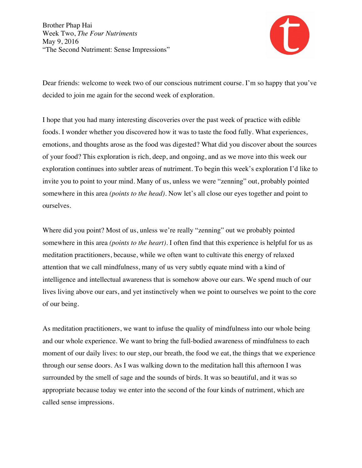

Dear friends: welcome to week two of our conscious nutriment course. I'm so happy that you've decided to join me again for the second week of exploration.

I hope that you had many interesting discoveries over the past week of practice with edible foods. I wonder whether you discovered how it was to taste the food fully. What experiences, emotions, and thoughts arose as the food was digested? What did you discover about the sources of your food? This exploration is rich, deep, and ongoing, and as we move into this week our exploration continues into subtler areas of nutriment. To begin this week's exploration I'd like to invite you to point to your mind. Many of us, unless we were "zenning" out, probably pointed somewhere in this area *(points to the head)*. Now let's all close our eyes together and point to ourselves.

Where did you point? Most of us, unless we're really "zenning" out we probably pointed somewhere in this area *(points to the heart)*. I often find that this experience is helpful for us as meditation practitioners, because, while we often want to cultivate this energy of relaxed attention that we call mindfulness, many of us very subtly equate mind with a kind of intelligence and intellectual awareness that is somehow above our ears. We spend much of our lives living above our ears, and yet instinctively when we point to ourselves we point to the core of our being.

As meditation practitioners, we want to infuse the quality of mindfulness into our whole being and our whole experience. We want to bring the full-bodied awareness of mindfulness to each moment of our daily lives: to our step, our breath, the food we eat, the things that we experience through our sense doors. As I was walking down to the meditation hall this afternoon I was surrounded by the smell of sage and the sounds of birds. It was so beautiful, and it was so appropriate because today we enter into the second of the four kinds of nutriment, which are called sense impressions.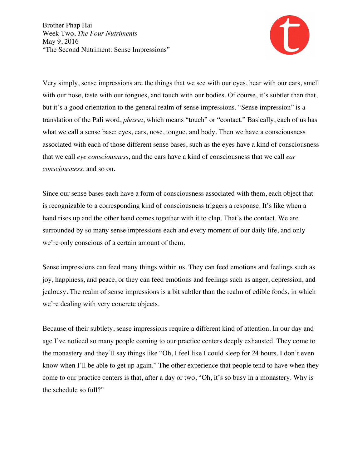

Very simply, sense impressions are the things that we see with our eyes, hear with our ears, smell with our nose, taste with our tongues, and touch with our bodies. Of course, it's subtler than that, but it's a good orientation to the general realm of sense impressions. "Sense impression" is a translation of the Pali word, *phassa*, which means "touch" or "contact." Basically, each of us has what we call a sense base: eyes, ears, nose, tongue, and body. Then we have a consciousness associated with each of those different sense bases, such as the eyes have a kind of consciousness that we call *eye consciousness*, and the ears have a kind of consciousness that we call *ear consciousness*, and so on.

Since our sense bases each have a form of consciousness associated with them, each object that is recognizable to a corresponding kind of consciousness triggers a response. It's like when a hand rises up and the other hand comes together with it to clap. That's the contact. We are surrounded by so many sense impressions each and every moment of our daily life, and only we're only conscious of a certain amount of them.

Sense impressions can feed many things within us. They can feed emotions and feelings such as joy, happiness, and peace, or they can feed emotions and feelings such as anger, depression, and jealousy. The realm of sense impressions is a bit subtler than the realm of edible foods, in which we're dealing with very concrete objects.

Because of their subtlety, sense impressions require a different kind of attention. In our day and age I've noticed so many people coming to our practice centers deeply exhausted. They come to the monastery and they'll say things like "Oh, I feel like I could sleep for 24 hours. I don't even know when I'll be able to get up again." The other experience that people tend to have when they come to our practice centers is that, after a day or two, "Oh, it's so busy in a monastery. Why is the schedule so full?"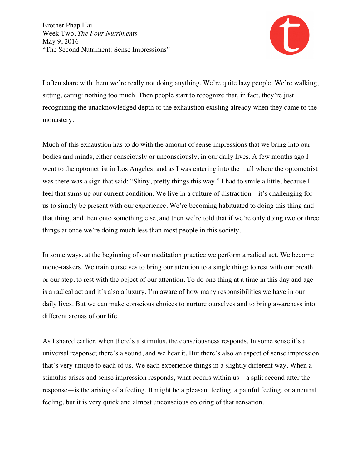

I often share with them we're really not doing anything. We're quite lazy people. We're walking, sitting, eating: nothing too much. Then people start to recognize that, in fact, they're just recognizing the unacknowledged depth of the exhaustion existing already when they came to the monastery.

Much of this exhaustion has to do with the amount of sense impressions that we bring into our bodies and minds, either consciously or unconsciously, in our daily lives. A few months ago I went to the optometrist in Los Angeles, and as I was entering into the mall where the optometrist was there was a sign that said: "Shiny, pretty things this way." I had to smile a little, because I feel that sums up our current condition. We live in a culture of distraction—it's challenging for us to simply be present with our experience. We're becoming habituated to doing this thing and that thing, and then onto something else, and then we're told that if we're only doing two or three things at once we're doing much less than most people in this society.

In some ways, at the beginning of our meditation practice we perform a radical act. We become mono-taskers. We train ourselves to bring our attention to a single thing: to rest with our breath or our step, to rest with the object of our attention. To do one thing at a time in this day and age is a radical act and it's also a luxury. I'm aware of how many responsibilities we have in our daily lives. But we can make conscious choices to nurture ourselves and to bring awareness into different arenas of our life.

As I shared earlier, when there's a stimulus, the consciousness responds. In some sense it's a universal response; there's a sound, and we hear it. But there's also an aspect of sense impression that's very unique to each of us. We each experience things in a slightly different way. When a stimulus arises and sense impression responds, what occurs within us—a split second after the response—is the arising of a feeling. It might be a pleasant feeling, a painful feeling, or a neutral feeling, but it is very quick and almost unconscious coloring of that sensation.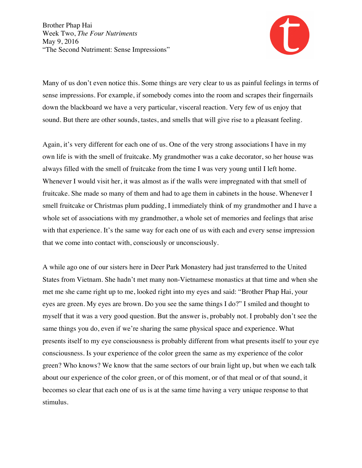

Many of us don't even notice this. Some things are very clear to us as painful feelings in terms of sense impressions. For example, if somebody comes into the room and scrapes their fingernails down the blackboard we have a very particular, visceral reaction. Very few of us enjoy that sound. But there are other sounds, tastes, and smells that will give rise to a pleasant feeling.

Again, it's very different for each one of us. One of the very strong associations I have in my own life is with the smell of fruitcake. My grandmother was a cake decorator, so her house was always filled with the smell of fruitcake from the time I was very young until I left home. Whenever I would visit her, it was almost as if the walls were impregnated with that smell of fruitcake. She made so many of them and had to age them in cabinets in the house. Whenever I smell fruitcake or Christmas plum pudding, I immediately think of my grandmother and I have a whole set of associations with my grandmother, a whole set of memories and feelings that arise with that experience. It's the same way for each one of us with each and every sense impression that we come into contact with, consciously or unconsciously.

A while ago one of our sisters here in Deer Park Monastery had just transferred to the United States from Vietnam. She hadn't met many non-Vietnamese monastics at that time and when she met me she came right up to me, looked right into my eyes and said: "Brother Phap Hai, your eyes are green. My eyes are brown. Do you see the same things I do?" I smiled and thought to myself that it was a very good question. But the answer is, probably not. I probably don't see the same things you do, even if we're sharing the same physical space and experience. What presents itself to my eye consciousness is probably different from what presents itself to your eye consciousness. Is your experience of the color green the same as my experience of the color green? Who knows? We know that the same sectors of our brain light up, but when we each talk about our experience of the color green, or of this moment, or of that meal or of that sound, it becomes so clear that each one of us is at the same time having a very unique response to that stimulus.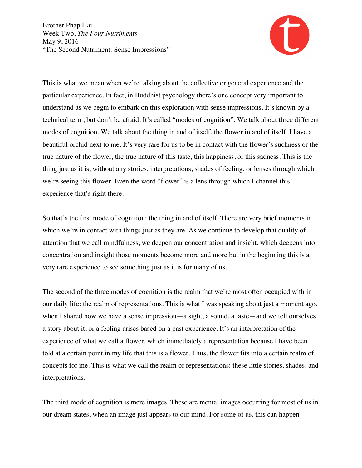

This is what we mean when we're talking about the collective or general experience and the particular experience. In fact, in Buddhist psychology there's one concept very important to understand as we begin to embark on this exploration with sense impressions. It's known by a technical term, but don't be afraid. It's called "modes of cognition". We talk about three different modes of cognition. We talk about the thing in and of itself, the flower in and of itself. I have a beautiful orchid next to me. It's very rare for us to be in contact with the flower's suchness or the true nature of the flower, the true nature of this taste, this happiness, or this sadness. This is the thing just as it is, without any stories, interpretations, shades of feeling, or lenses through which we're seeing this flower. Even the word "flower" is a lens through which I channel this experience that's right there.

So that's the first mode of cognition: the thing in and of itself. There are very brief moments in which we're in contact with things just as they are. As we continue to develop that quality of attention that we call mindfulness, we deepen our concentration and insight, which deepens into concentration and insight those moments become more and more but in the beginning this is a very rare experience to see something just as it is for many of us.

The second of the three modes of cognition is the realm that we're most often occupied with in our daily life: the realm of representations. This is what I was speaking about just a moment ago, when I shared how we have a sense impression—a sight, a sound, a taste—and we tell ourselves a story about it, or a feeling arises based on a past experience. It's an interpretation of the experience of what we call a flower, which immediately a representation because I have been told at a certain point in my life that this is a flower. Thus, the flower fits into a certain realm of concepts for me. This is what we call the realm of representations: these little stories, shades, and interpretations.

The third mode of cognition is mere images. These are mental images occurring for most of us in our dream states, when an image just appears to our mind. For some of us, this can happen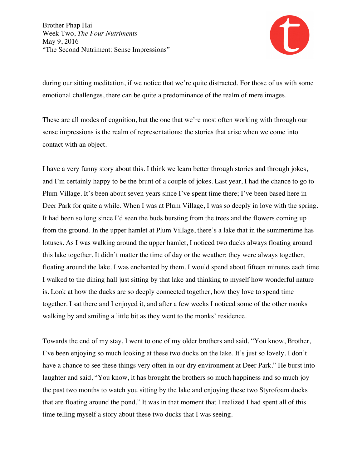

during our sitting meditation, if we notice that we're quite distracted. For those of us with some emotional challenges, there can be quite a predominance of the realm of mere images.

These are all modes of cognition, but the one that we're most often working with through our sense impressions is the realm of representations: the stories that arise when we come into contact with an object.

I have a very funny story about this. I think we learn better through stories and through jokes, and I'm certainly happy to be the brunt of a couple of jokes. Last year, I had the chance to go to Plum Village. It's been about seven years since I've spent time there; I've been based here in Deer Park for quite a while. When I was at Plum Village, I was so deeply in love with the spring. It had been so long since I'd seen the buds bursting from the trees and the flowers coming up from the ground. In the upper hamlet at Plum Village, there's a lake that in the summertime has lotuses. As I was walking around the upper hamlet, I noticed two ducks always floating around this lake together. It didn't matter the time of day or the weather; they were always together, floating around the lake. I was enchanted by them. I would spend about fifteen minutes each time I walked to the dining hall just sitting by that lake and thinking to myself how wonderful nature is. Look at how the ducks are so deeply connected together, how they love to spend time together. I sat there and I enjoyed it, and after a few weeks I noticed some of the other monks walking by and smiling a little bit as they went to the monks' residence.

Towards the end of my stay, I went to one of my older brothers and said, "You know, Brother, I've been enjoying so much looking at these two ducks on the lake. It's just so lovely. I don't have a chance to see these things very often in our dry environment at Deer Park." He burst into laughter and said, "You know, it has brought the brothers so much happiness and so much joy the past two months to watch you sitting by the lake and enjoying these two Styrofoam ducks that are floating around the pond." It was in that moment that I realized I had spent all of this time telling myself a story about these two ducks that I was seeing.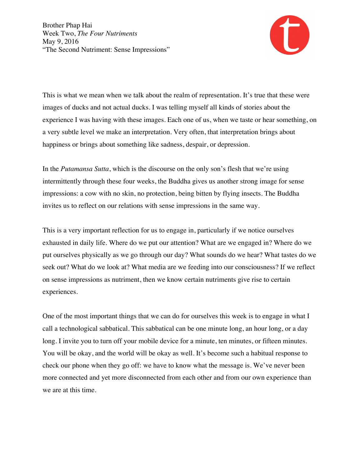

This is what we mean when we talk about the realm of representation. It's true that these were images of ducks and not actual ducks. I was telling myself all kinds of stories about the experience I was having with these images. Each one of us, when we taste or hear something, on a very subtle level we make an interpretation. Very often, that interpretation brings about happiness or brings about something like sadness, despair, or depression.

In the *Putamansa Sutta*, which is the discourse on the only son's flesh that we're using intermittently through these four weeks, the Buddha gives us another strong image for sense impressions: a cow with no skin, no protection, being bitten by flying insects. The Buddha invites us to reflect on our relations with sense impressions in the same way.

This is a very important reflection for us to engage in, particularly if we notice ourselves exhausted in daily life. Where do we put our attention? What are we engaged in? Where do we put ourselves physically as we go through our day? What sounds do we hear? What tastes do we seek out? What do we look at? What media are we feeding into our consciousness? If we reflect on sense impressions as nutriment, then we know certain nutriments give rise to certain experiences.

One of the most important things that we can do for ourselves this week is to engage in what I call a technological sabbatical. This sabbatical can be one minute long, an hour long, or a day long. I invite you to turn off your mobile device for a minute, ten minutes, or fifteen minutes. You will be okay, and the world will be okay as well. It's become such a habitual response to check our phone when they go off: we have to know what the message is. We've never been more connected and yet more disconnected from each other and from our own experience than we are at this time.